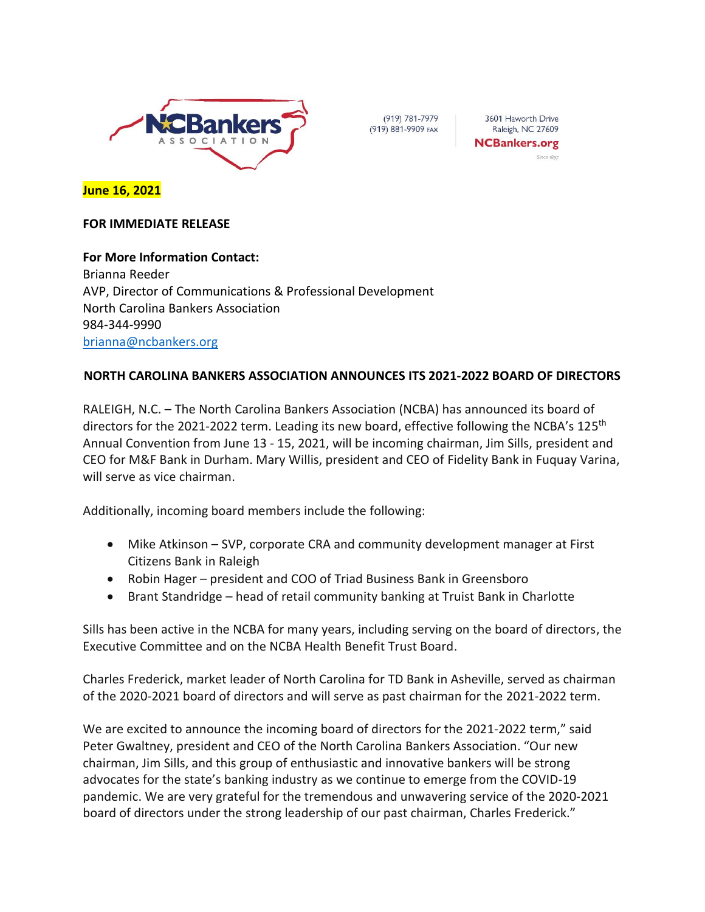

(919) 781-7979 (919) 881-9909 FAX

3601 Haworth Drive Raleigh, NC 27609 **NCBankers.org** 

**June 16, 2021**

## **FOR IMMEDIATE RELEASE**

**For More Information Contact:** Brianna Reeder AVP, Director of Communications & Professional Development North Carolina Bankers Association 984-344-9990 [brianna@ncbankers.org](mailto:brianna@ncbankers.org)

## **NORTH CAROLINA BANKERS ASSOCIATION ANNOUNCES ITS 2021-2022 BOARD OF DIRECTORS**

RALEIGH, N.C. – The North Carolina Bankers Association (NCBA) has announced its board of directors for the 2021-2022 term. Leading its new board, effective following the NCBA's 125<sup>th</sup> Annual Convention from June 13 - 15, 2021, will be incoming chairman, Jim Sills, president and CEO for M&F Bank in Durham. Mary Willis, president and CEO of Fidelity Bank in Fuquay Varina, will serve as vice chairman.

Additionally, incoming board members include the following:

- Mike Atkinson SVP, corporate CRA and community development manager at First Citizens Bank in Raleigh
- Robin Hager president and COO of Triad Business Bank in Greensboro
- Brant Standridge head of retail community banking at Truist Bank in Charlotte

Sills has been active in the NCBA for many years, including serving on the board of directors, the Executive Committee and on the NCBA Health Benefit Trust Board.

Charles Frederick, market leader of North Carolina for TD Bank in Asheville, served as chairman of the 2020-2021 board of directors and will serve as past chairman for the 2021-2022 term.

We are excited to announce the incoming board of directors for the 2021-2022 term," said Peter Gwaltney, president and CEO of the North Carolina Bankers Association. "Our new chairman, Jim Sills, and this group of enthusiastic and innovative bankers will be strong advocates for the state's banking industry as we continue to emerge from the COVID-19 pandemic. We are very grateful for the tremendous and unwavering service of the 2020-2021 board of directors under the strong leadership of our past chairman, Charles Frederick."